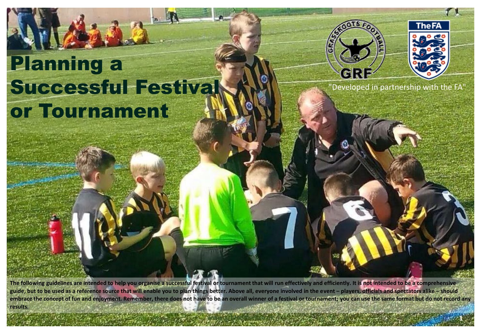# Planning a Successful Festival or Tournament



**www.grf-football.co.uk 1**



"Developed in partnership with the FA"

**The following guidelines are intended to help you organise a successful festival or tournament that will run effectively and efficiently. It is not intended to be a comprehensive**  guide, but to be used as a reference source that will enable you to plan things better. Above all, everyone involved in the event – players, officials and spectators alike – should **embrace the concept of fun and enjoyment. Remember, there does not have to be an overall winner of a festival or tournament; you can use the same format but do not record any results.**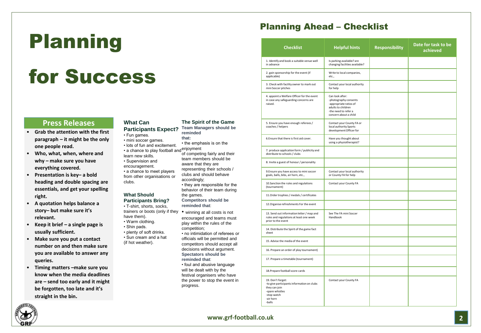## Planning

## for Success

### **Press Releases**

- **Grab the attention with the first paragraph – it might be the only one people read.**
- **Who, what, when, where and why – make sure you have everything covered.**
- **Presentation is key– a bold heading and double spacing are essentials, and get your spelling right.**
- **A quotation helps balance a story– but make sure it's relevant.**
- **Keep it brief – a single page is usually sufficient.**
- **Make sure you put a contact number on and then make sure you are available to answer any queries.**
- **Timing matters –make sure you know when the media deadlines are – send too early and it might be forgotten, too late and it's straight in the bin.**

### **What Can**

**Participants Expect? The Spirit of the Game Team Managers should be reminded** 

**that:**

accordingly;

the games.

• the emphasis is on the of competing fairly and their team members should be aware that they are representing their schools / clubs and should behave

• they are responsible for the behavior of their team during

encouraged and teams must play within the rules of the

• no intimidation of referees or officials will be permitted and competitors should accept all

**Competitors should be reminded that**:

- Fun games. • mini soccer games.
- lots of fun and excitement.
- a chance to play football and  $\frac{enjoyment}{if}$
- learn new skills. • Supervision and encouragement.
- a chance to meet players from other organisations or clubs.

#### **What Should Participants Bring?**

• T-shirt, shorts, socks, trainers or boots (only if they • winning at all costs is not have them). • Warm clothing.

- Shin pads.
- plenty of soft drinks.
- Sun cream and a hat (if hot weather).
- 
- decisions without argument. **Spectators should be reminded that**:

competition;

• foul and abusive language will be dealt with by the festival organisers who have the power to stop the event in progress.

### Planning Ahead – Checklist

| <b>Checklist</b>                                                                                                                          | <b>Helpful hints</b>                                                                                                                      | <b>Responsibility</b> | Date for task to be<br>achieved |
|-------------------------------------------------------------------------------------------------------------------------------------------|-------------------------------------------------------------------------------------------------------------------------------------------|-----------------------|---------------------------------|
| 1. Identify and book a suitable venue well<br>in advance                                                                                  | Is parking available? are<br>changing facilities available?                                                                               |                       |                                 |
| 2. gain sponsorship for the event (if<br>applicable)                                                                                      | Write to local companies,<br>etc.,                                                                                                        |                       |                                 |
| 3. Check with facility owner to mark out<br>mini Soccer pitches                                                                           | Contact your local authority<br>for help                                                                                                  |                       |                                 |
| 4. appoint a Welfare Officer for the event<br>in case any safeguarding concerns are<br>raised.                                            | Can look after:<br>-photography consents<br>-appropriate ratios of<br>adults to children<br>-the need to refer a<br>concern about a child |                       |                                 |
| 5. Ensure you have enough referees /<br>coaches / helpers                                                                                 | Contact your County FA or<br>local authority Sports<br>development Officer for                                                            |                       |                                 |
| 6. Ensure that there is first aid cover.                                                                                                  | Have you thought about<br>using a physiotherapist?                                                                                        |                       |                                 |
| 7. produce application form / publicity and<br>distribute to schools / clubs                                                              |                                                                                                                                           |                       |                                 |
| 8. Invite a guest of honour / personality                                                                                                 |                                                                                                                                           |                       |                                 |
| 9. Ensure you have access to mini soccer<br>goals, balls, bibs, air horn, etc.,                                                           | Contact your local authority<br>or County FA for help                                                                                     |                       |                                 |
| 10. Sanction the rules and regulations<br>(tournament)                                                                                    | Contact your County FA                                                                                                                    |                       |                                 |
| 11. Order trophies / medals / certificates                                                                                                |                                                                                                                                           |                       |                                 |
| 12. Organise refreshments For the event                                                                                                   |                                                                                                                                           |                       |                                 |
| 13. Send out information letter / map and<br>rules and regulations at least one week<br>prior to the event                                | See The FA mini Soccer<br>Handbook                                                                                                        |                       |                                 |
| 14. Distribute the Spirit of the game fact<br>sheet                                                                                       |                                                                                                                                           |                       |                                 |
| 15. Advise the media of the event                                                                                                         |                                                                                                                                           |                       |                                 |
| 16. Prepare an order of play tournament)                                                                                                  |                                                                                                                                           |                       |                                 |
| 17. Prepare a timetable (tournament)                                                                                                      |                                                                                                                                           |                       |                                 |
| 18. Prepare football score cards                                                                                                          |                                                                                                                                           |                       |                                 |
| 19. Don't forget:<br>-to give participants information on clubs<br>they can join<br>-spare whistles<br>-stop watch<br>-air horn<br>-balls | Contact your County FA                                                                                                                    |                       |                                 |



**www.grf-football.co.uk 2**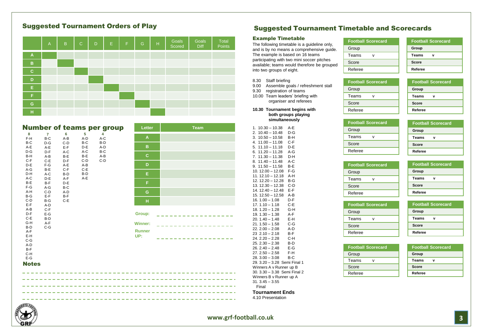### Suggested Tournament Orders of Play

|                | $\overline{A}$ | B | $\mathsf{C}$ | D | E. | F. | G | H | Goals<br>Scored | Goals<br><b>Diff</b> | Total<br>Points |
|----------------|----------------|---|--------------|---|----|----|---|---|-----------------|----------------------|-----------------|
| $\overline{A}$ |                |   |              |   |    |    |   |   |                 |                      |                 |
| B              |                |   |              |   |    |    |   |   |                 |                      |                 |
| $\mathbf{C}$   |                |   |              |   |    |    |   |   |                 |                      |                 |
| D              |                |   |              |   |    |    |   |   |                 |                      |                 |
| Е              |                |   |              |   |    |    |   |   |                 |                      |                 |
| F.             |                |   |              |   |    |    |   |   |                 |                      |                 |
| ${\mathsf G}$  |                |   |              |   |    |    |   |   |                 |                      |                 |
| H              |                |   |              |   |    |    |   |   |                 |                      |                 |

|                   |                       |                |              | <b>Number of teams per group</b> | Letter                   | <b>Team</b> |
|-------------------|-----------------------|----------------|--------------|----------------------------------|--------------------------|-------------|
| 8<br>$F-H$        | $\overline{7}$<br>B-C | 6<br>$A-B$     | 5<br>A-D     | 4<br>$A-C$                       | A                        |             |
| B-C<br>A-E        | $D-G$<br>$A-E$        | $C-D$<br>$E-F$ | B-C<br>D-E   | $B-D$<br>A-D                     | B                        |             |
| $D-G$<br>B-H      | $D-F$<br>$A-B$        | A-C<br>$B-E$   | A-C<br>B-E   | B-C<br>A-B                       | c                        |             |
| $C-F$<br>D-E      | $C-E$<br>$F-G$        | $D-F$<br>$A-E$ | $C-D$<br>A-B | $C-D$                            | D                        |             |
| A-G<br>D-H        | B-E<br>A-C            | $C-F$<br>B-D   | C-E<br>B-D   |                                  | Е                        |             |
| A-C<br>B-E        | D-E<br>$B-F$          | A-F<br>$D-E$   | A-E          |                                  | F.                       |             |
| $F-G$<br>A-H      | A-G<br>$C-D$          | B-C<br>A-D     |              |                                  | G                        |             |
| B-G<br>$C-D$      | $E-F$<br>$B-G$        | B-F<br>$C-E$   |              |                                  | н                        |             |
| E-F<br>A-B        | A-D<br>$C-F$          |                |              |                                  |                          |             |
| $D-F$<br>C-E      | $E-G$<br>$B-D$        |                |              |                                  | Group:                   |             |
| G-H<br>B-D<br>A-F | $A-F$<br>$C-G$        |                |              |                                  | Winner:<br><b>Runner</b> |             |
| E-H<br>$C-G$      |                       |                |              |                                  | UP:                      |             |
| A-D<br>$B-F$      |                       |                |              |                                  |                          |             |
| C-H<br>$E-G$      |                       |                |              |                                  |                          |             |
| <b>Notes</b>      |                       |                |              |                                  |                          |             |
|                   |                       |                |              |                                  |                          |             |
|                   |                       |                |              |                                  |                          |             |
|                   |                       |                |              |                                  |                          |             |
|                   |                       |                |              |                                  |                          |             |

### **www.grf-football.co.uk 3**

### Suggested Tournament Timetable and Scorecards

### Example Timetable

The following timetable is a guideline only, and is by no means a comprehensive guide. The example is based on 16 teams participating with two mini soccer pitches available; teams would therefore be grouped into two groups of eight.

### 8.30 Staff briefing

- 9.00 Assemble goals / refreshment stall
- 9.30 registration of teams

10.00 Team leaders' briefing with organiser and referees **10.30 Tournament begins with** 

**both groups playing simultaneously**

| 1.<br>$10.30 - 10.38$<br>$10.40 - 10.48$<br>2. | A-E<br>D-G |
|------------------------------------------------|------------|
| $10.50 - 10.58$<br>3.                          | B-H        |
| 4. 11.00 - 11.08                               | C-F        |
| $5. 11.10 - 11.18$                             | D-E        |
| $6. 11.20 - 11.28$                             | A-G        |
| $11.30 - 11.38$<br>7.                          | D-H        |
| $11.40 - 11.48$<br>8.                          | A-C        |
| $9.11.50 - 11.58$                              | B-E        |
| 10.12.00 - 12.08                               | F-G        |
| $11.12.10 - 12.18$                             | A-H        |
| 12. 12.20 - 12.28                              | B-G        |
| 13. 12.30 - 12.38                              | $C-D$      |
| 14. 12.40 - 12.48<br>$15.12.50 - 12.58$        | E-F<br>A-B |
| $16.1.00 - 1.08$                               | D-F        |
| $17.1.10 - 1.18$                               | C-E        |
| $18.1.20 - 1.28$                               | G-H        |
| $19.1.30 - 1.38$                               | A-F        |
| $20.1.40 - 1.48$                               | E-H        |
| $21.1.50 - 1.58$                               | $C-G$      |
| $22.2.00 - 2.08$                               | A-D        |
| $232.10 - 2.18$                                | B-F        |
| $24.2.20 - 2.28$                               | C-H        |
| $25.2.30 - 2.38$                               | $B-D$      |
| $26.2.40 - 2.48$                               | E-G        |
| $27.2.50 - 2.58$                               | F-H        |
| $28.3.00 - 3.08$                               | B-C        |
| 29. 3.20 - 3.28 Semi Final 1                   |            |
| Winners A v Runner up B                        |            |
| 30. 3.30 - 3.38 Semi Final 2                   |            |
| Winners B v Runner up A<br>$31.3.45 - 3.55$    |            |
| Final                                          |            |
|                                                |            |
| <b>Tournament Ends</b>                         |            |
| 4.10 Presentation                              |            |
|                                                |            |

| <b>Football Scorecard</b> | <b>Football Scorecard</b> |
|---------------------------|---------------------------|
| Group                     | Group                     |
| Teams                     | <b>Teams</b><br>ν         |
| Score                     | Score                     |
| Referee                   | Referee                   |

| <b>Football Scorecard</b> |  |
|---------------------------|--|
| Group                     |  |
| Teams                     |  |
| Score                     |  |
| Referee                   |  |

| <b>Football Scorecard</b> | For |
|---------------------------|-----|
| Group                     | Gro |
| Teams                     | Tea |
| Score                     | Sco |
| Referee                   | Ref |

| <b>Football Scorecard</b> |  |
|---------------------------|--|
| Group                     |  |
| <b>Teams</b>              |  |
| Score                     |  |
| Referee                   |  |
|                           |  |

**Football Scorecard**

**Group Teams v Score Referee**

**Football Scorecard**

**Group Teams v Score Referee**

|         | <b>Football Scorecard</b> |
|---------|---------------------------|
| Group   |                           |
| Teams   |                           |
| Score   |                           |
| Referee |                           |

**Football Scorecard**

Group Teams v Score Referee

|         | <b>Football Scorecard</b> |  |
|---------|---------------------------|--|
| Group   |                           |  |
| Teams   | v                         |  |
| Score   |                           |  |
| Referee |                           |  |

| <b>Football Scorecard</b> |  |
|---------------------------|--|
| Group                     |  |
| <b>Teams</b>              |  |
| Score                     |  |
| Referee                   |  |

| <b>Football Scorecard</b> |
|---------------------------|
| Group                     |
| <b>Teams</b>              |
| Score                     |
| Referee                   |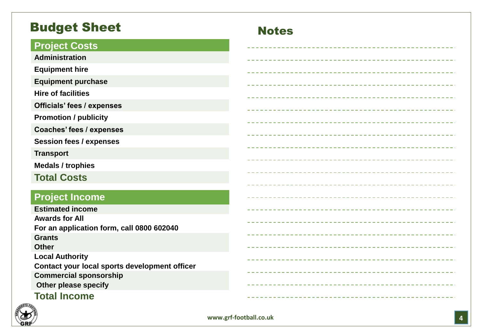## **Budget Sheet Notes**

### **Project Costs**

**Administration**

**Equipment hire**

**Equipment purchase**

**Hire of facilities**

**Officials' fees / expenses**

**Promotion / publicity**

**Coaches' fees / expenses**

**Session fees / expenses**

**Transport**

**Medals / trophies**

**Total Costs**

### **Project Income**

**Estimated income Awards for All For an application form, call 0800 602040 Grants Other Local Authority Contact your local sports development officer Commercial sponsorship Other please specify Total Income**



### **www.grf -football.co.uk**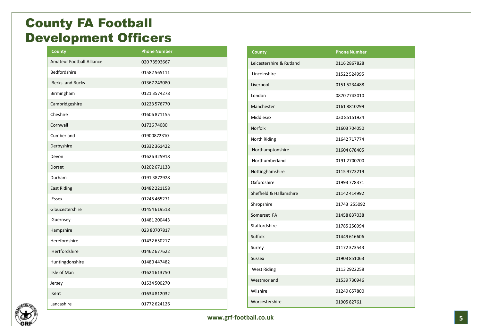## County FA Football Development Officers

| <b>County</b>             | <b>Phone Number</b> |
|---------------------------|---------------------|
| Amateur Football Alliance | 020 73593667        |
| Bedfordshire              | 01582565111         |
| Berks, and Bucks          | 01367 243080        |
| Birmingham                | 01213574278         |
| Cambridgeshire            | 01223 576770        |
| Cheshire                  | 01606871155         |
| Cornwall                  | 01726 74080         |
| Cumberland                | 01900872310         |
| Derbyshire                | 01332 361422        |
| Devon                     | 01626325918         |
| <b>Dorset</b>             | 01202 671138        |
| Durham                    | 01913872928         |
| <b>East Riding</b>        | 01482 221158        |
| Essex                     | 01245 465271        |
| Gloucestershire           | 01454 619518        |
| Guernsey                  | 01481 200443        |
| Hampshire                 | 023 80707817        |
| Herefordshire             | 01432 650217        |
| Hertfordshire             | 01462 677622        |
| Huntingdonshire           | 01480 447482        |
| Isle of Man               | 01624 613750        |
| Jersey                    | 01534 500270        |
| Kent                      | 01634812032         |
| Lancashire                | 01772 624126        |

| <b>County</b>            | <b>Phone Number</b> |
|--------------------------|---------------------|
| Leicestershire & Rutland | 0116 2867828        |
| Lincolnshire             | 01522524995         |
| Liverpool                | 01515234488         |
| London                   | 0870 7743010        |
| Manchester               | 01618810299         |
| Middlesex                | 020 85151924        |
| <b>Norfolk</b>           | 01603 704050        |
| North Riding             | 01642717774         |
| Northamptonshire         | 01604 678405        |
| Northumberland           | 0191 2700700        |
| Nottinghamshire          | 0115 9773219        |
| Oxfordshire              | 01993778371         |
| Sheffield & Hallamshire  | 01142414992         |
| Shropshire               | 01743 255092        |
| Somerset FA              | 01458837038         |
| Staffordshire            | 01785 256994        |
| Suffolk                  | 01449 616606        |
| Surrey                   | 01172373543         |
| <b>Sussex</b>            | 01903851063         |
| <b>West Riding</b>       | 0113 2922258        |
| Westmorland              | 01539730946         |
| Wilshire                 | 01249 657800        |
| Worcestershire           | 0190582761          |

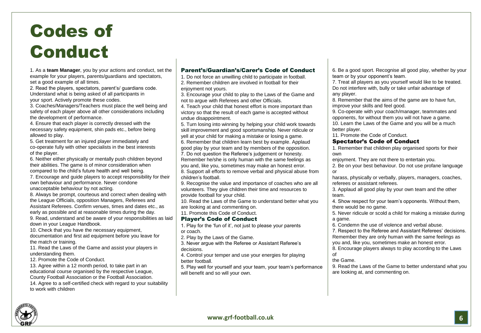## Codes of Conduct

1. As a **team Manager**, you by your actions and conduct, set the example for your players, parents/guardians and spectators, set a good example of all times.

2. Read the players, spectators, parent's/ guardians code. Understand what is being asked of all participants in your sport. Actively promote these codes.

3. Coaches/Managers/Teachers must place the well being and safety of each player above all other considerations including the development of performance.

4. Ensure that each player is correctly dressed with the necessary safety equipment, shin pads etc., before being allowed to play.

5. Get treatment for an injured player immediately and co-operate fully with other specialists in the best interests of the player.

6. Neither either physically or mentally push children beyond their abilities. The game is of minor consideration when compared to the child's future health and well being.

7. Encourage and guide players to accept responsibility for their own behaviour and performance. Never condone unacceptable behaviour by not acting.

8. Always be prompt, courteous and correct when dealing with the League Officials, opposition Managers, Referees and Assistant Referees. Confirm venues, times and dates etc., as early as possible and at reasonable times during the day. 9. Read, understand and be aware of your responsibilities as laid

down in your League Handbook. 10. Check that you have the necessary equipment, documentation and first aid equipment before you leave for

the match or training.

11. Read the Laws of the Game and assist your players in understanding them.

12. Promote the Code of Conduct.

13. Agree within a 12 month period, to take part in an educational course organised by the respective League, County Football Association or the Football Association. 14. Agree to a self-certified check with regard to your suitability to work with children

### Parent's/Guardian's/Carer's Code of Conduct

1. Do not force an unwilling child to participate in football. 2. Remember children are involved in football for their

enjoyment not yours.

3. Encourage your child to play to the Laws of the Game and not to argue with Referees and other Officials.

4. Teach your child that honest effort is more important than victory so that the result of each game is accepted without undue disappointment.

5. Turn losing into winning by helping your child work towards skill improvement and good sportsmanship. Never ridicule or yell at your child for making a mistake or losing a game.

6. Remember that children learn best by example. Applaud good play by your team and by members of the opposition.

7. Do not question the Referee's judgement or honesty.

Remember he/she is only human with the same feelings as you and, like you, sometimes may make an honest error.

8. Support all efforts to remove verbal and physical abuse from children's football.

9. Recognise the value and importance of coaches who are all volunteers. They give children their time and resources to provide football for your child.

10. Read the Laws of the Game to understand better what you are looking at and commenting on.

11. Promote this Code of Conduct.

### Player's Code of Conduct

1. Play for the 'fun of it', not just to please your parents or coach.

2. Play by the Laws of the Game.

3. Never argue with the Referee or Assistant Referee's decisions.

4. Control your temper and use your energies for playing better football.

5. Play well for yourself and your team, your team's performance will benefit and so will your own.

6. Be a good sport. Recognise all good play, whether by your team or by your opponent's team.

7. Treat all players as you yourself would like to be treated. Do not interfere with, bully or take unfair advantage of any player.

8. Remember that the aims of the game are to have fun, improve your skills and feel good.

9. Co-operate with your coach/manager, teammates and opponents, for without them you will not have a game.

10. Learn the Laws of the Game and you will be a much better player.

11. Promote the Code of Conduct.

### Spectator's Code of Conduct

1. Remember that children play organised sports for their own

enjoyment. They are not there to entertain you.

2. Be on your best behaviour. Do not use profane language or

harass, physically or verbally, players, managers, coaches, referees or assistant referees.

3. Applaud all good play by your own team and the other team.

4. Show respect for your team's opponents. Without them, there would be no game.

5. Never ridicule or scold a child for making a mistake during a game.

6. Condemn the use of violence and verbal abuse.

7. Respect to the Referee and Assistant Referees' decisions. Remember they are only human with the same feelings as you and, like you, sometimes make an honest error.

8. Encourage players always to play according to the Laws of

### the Game.

9. Read the Laws of the Game to better understand what you are looking at, and commenting on.

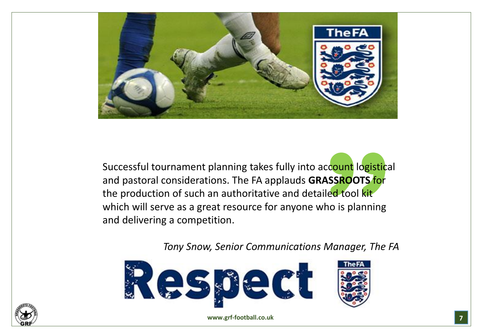

Successful tournament planning takes fully into account logistical and pastoral considerations. The FA applauds **GRASSROOTS** for the production of such an authoritative and detailed tool kit which will serve as a great resource for anyone who is planning and delivering a competition.

*Tony Snow, Senior Communications Manager, The FA*